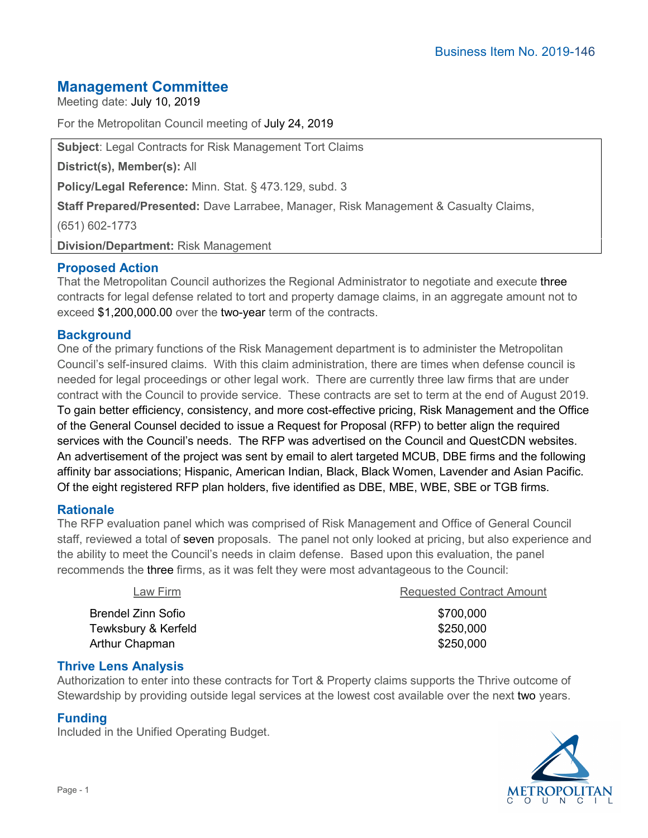# **Management Committee**

Meeting date: July 10, 2019

For the Metropolitan Council meeting of July 24, 2019

**Subject**: Legal Contracts for Risk Management Tort Claims

**District(s), Member(s):** All

**Policy/Legal Reference:** Minn. Stat. § 473.129, subd. 3

**Staff Prepared/Presented:** Dave Larrabee, Manager, Risk Management & Casualty Claims,

(651) 602-1773

**Division/Department:** Risk Management

# **Proposed Action**

That the Metropolitan Council authorizes the Regional Administrator to negotiate and execute three contracts for legal defense related to tort and property damage claims, in an aggregate amount not to exceed \$1,200,000.00 over the two-year term of the contracts.

# **Background**

One of the primary functions of the Risk Management department is to administer the Metropolitan Council's self-insured claims. With this claim administration, there are times when defense council is needed for legal proceedings or other legal work. There are currently three law firms that are under contract with the Council to provide service. These contracts are set to term at the end of August 2019. To gain better efficiency, consistency, and more cost-effective pricing, Risk Management and the Office of the General Counsel decided to issue a Request for Proposal (RFP) to better align the required services with the Council's needs. The RFP was advertised on the Council and QuestCDN websites. An advertisement of the project was sent by email to alert targeted MCUB, DBE firms and the following affinity bar associations; Hispanic, American Indian, Black, Black Women, Lavender and Asian Pacific. Of the eight registered RFP plan holders, five identified as DBE, MBE, WBE, SBE or TGB firms.

### **Rationale**

The RFP evaluation panel which was comprised of Risk Management and Office of General Council staff, reviewed a total of seven proposals. The panel not only looked at pricing, but also experience and the ability to meet the Council's needs in claim defense. Based upon this evaluation, the panel recommends the three firms, as it was felt they were most advantageous to the Council:

| <b>Requested Contract Amount</b> |
|----------------------------------|
| \$700,000                        |
| \$250,000                        |
| \$250,000                        |
|                                  |

### **Thrive Lens Analysis**

Authorization to enter into these contracts for Tort & Property claims supports the Thrive outcome of Stewardship by providing outside legal services at the lowest cost available over the next two years.

### **Funding**

Included in the Unified Operating Budget.